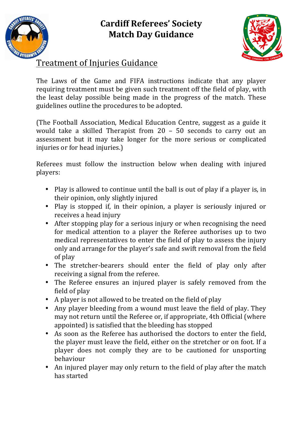## **Cardiff Referees' Society Match Day Guidance**





## **Treatment of Injuries Guidance**

The Laws of the Game and FIFA instructions indicate that any player requiring treatment must be given such treatment off the field of play, with the least delay possible being made in the progress of the match. These guidelines outline the procedures to be adopted.

(The Football Association, Medical Education Centre, suggest as a guide it would take a skilled Therapist from  $20 - 50$  seconds to carry out an assessment but it may take longer for the more serious or complicated injuries or for head injuries.)

Referees must follow the instruction below when dealing with injured players:

- Play is allowed to continue until the ball is out of play if a player is, in their opinion, only slightly injured
- Play is stopped if, in their opinion, a player is seriously injured or receives a head injury
- After stopping play for a serious injury or when recognising the need for medical attention to a player the Referee authorises up to two medical representatives to enter the field of play to assess the injury only and arrange for the player's safe and swift removal from the field of play
- The stretcher-bearers should enter the field of play only after receiving a signal from the referee.
- The Referee ensures an injured player is safely removed from the field of play
- A player is not allowed to be treated on the field of play
- Any player bleeding from a wound must leave the field of play. They may not return until the Referee or, if appropriate, 4th Official (where appointed) is satisfied that the bleeding has stopped
- As soon as the Referee has authorised the doctors to enter the field, the player must leave the field, either on the stretcher or on foot. If a player does not comply they are to be cautioned for unsporting behaviour
- An injured player may only return to the field of play after the match has started